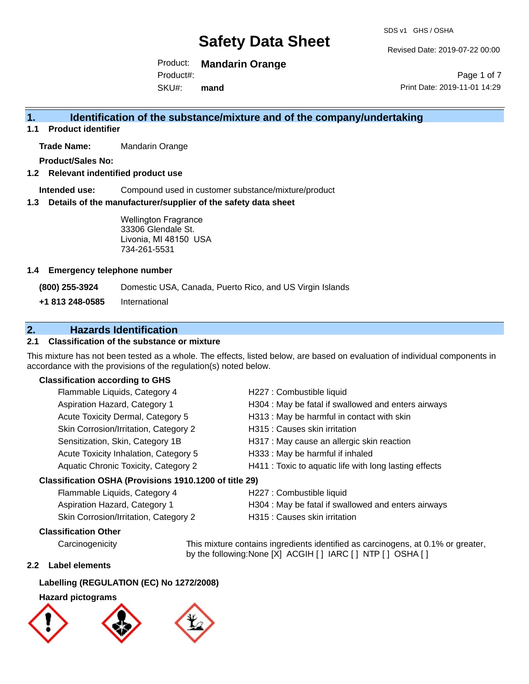Revised Date: 2019-07-22 00:00

Product: **Mandarin Orange** Product#:

SKU#: **mand**

Page 1 of 7 Print Date: 2019-11-01 14:29

# **1. Identification of the substance/mixture and of the company/undertaking**

**1.1 Product identifier**

**Trade Name:** Mandarin Orange

**Product/Sales No:**

### **1.2 Relevant indentified product use**

**Intended use:** Compound used in customer substance/mixture/product

#### **1.3 Details of the manufacturer/supplier of the safety data sheet**

Wellington Fragrance 33306 Glendale St. Livonia, MI 48150 USA 734-261-5531

#### **1.4 Emergency telephone number**

**(800) 255-3924** Domestic USA, Canada, Puerto Rico, and US Virgin Islands

**+1 813 248-0585** International

# **2. Hazards Identification**

## **2.1 Classification of the substance or mixture**

This mixture has not been tested as a whole. The effects, listed below, are based on evaluation of individual components in accordance with the provisions of the regulation(s) noted below.

#### **Classification according to GHS**

| Flammable Liquids, Category 4                       | H227 : Combustible liquid                              |
|-----------------------------------------------------|--------------------------------------------------------|
| Aspiration Hazard, Category 1                       | H304 : May be fatal if swallowed and enters airways    |
| Acute Toxicity Dermal, Category 5                   | H313: May be harmful in contact with skin              |
| Skin Corrosion/Irritation, Category 2               | H315 : Causes skin irritation                          |
| Sensitization, Skin, Category 1B                    | H317 : May cause an allergic skin reaction             |
| Acute Toxicity Inhalation, Category 5               | H333: May be harmful if inhaled                        |
| Aquatic Chronic Toxicity, Category 2                | H411 : Toxic to aquatic life with long lasting effects |
| ssification OSHA (Provisions 1910 1200 of title 29) |                                                        |

## **Classification OSHA (Provisions 1910.1200 of title 29)**

| Flammable Liquids, Category 4         | H227 : Combustible liquid                           |
|---------------------------------------|-----------------------------------------------------|
| Aspiration Hazard, Category 1         | H304 : May be fatal if swallowed and enters airways |
| Skin Corrosion/Irritation, Category 2 | H315 : Causes skin irritation                       |

### **Classification Other**

Carcinogenicity This mixture contains ingredients identified as carcinogens, at 0.1% or greater, by the following:None [X] ACGIH [ ] IARC [ ] NTP [ ] OSHA [ ]

#### **2.2 Label elements**

### **Labelling (REGULATION (EC) No 1272/2008)**

### **Hazard pictograms**

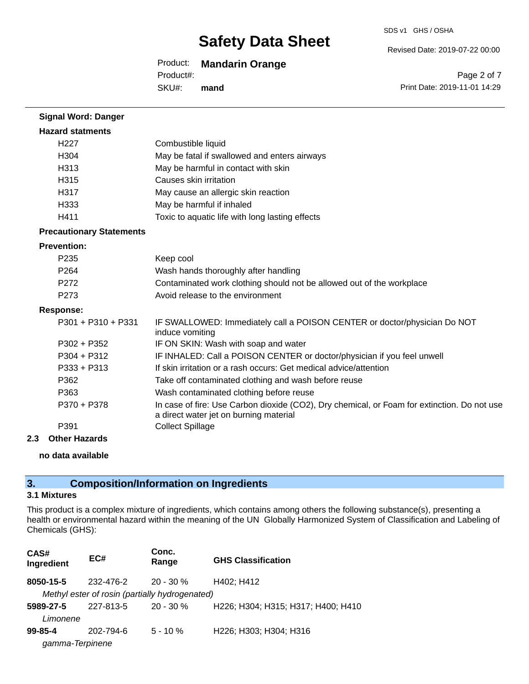#### Revised Date: 2019-07-22 00:00

# Product: **Mandarin Orange**

SKU#: Product#: **mand**

Page 2 of 7 Print Date: 2019-11-01 14:29

| Combustible liquid                                                                                                                    |
|---------------------------------------------------------------------------------------------------------------------------------------|
| May be fatal if swallowed and enters airways                                                                                          |
| May be harmful in contact with skin                                                                                                   |
| Causes skin irritation                                                                                                                |
| May cause an allergic skin reaction                                                                                                   |
| May be harmful if inhaled                                                                                                             |
| Toxic to aquatic life with long lasting effects                                                                                       |
|                                                                                                                                       |
|                                                                                                                                       |
| Keep cool                                                                                                                             |
| Wash hands thoroughly after handling                                                                                                  |
| Contaminated work clothing should not be allowed out of the workplace                                                                 |
| Avoid release to the environment                                                                                                      |
|                                                                                                                                       |
| IF SWALLOWED: Immediately call a POISON CENTER or doctor/physician Do NOT<br>induce vomiting                                          |
| IF ON SKIN: Wash with soap and water                                                                                                  |
| IF INHALED: Call a POISON CENTER or doctor/physician if you feel unwell                                                               |
| If skin irritation or a rash occurs: Get medical advice/attention                                                                     |
| Take off contaminated clothing and wash before reuse                                                                                  |
| Wash contaminated clothing before reuse                                                                                               |
| In case of fire: Use Carbon dioxide (CO2), Dry chemical, or Foam for extinction. Do not use<br>a direct water jet on burning material |
| <b>Collect Spillage</b>                                                                                                               |
|                                                                                                                                       |

#### **2.3 Other Hazards**

#### **no data available**

# **3. Composition/Information on Ingredients**

## **3.1 Mixtures**

This product is a complex mixture of ingredients, which contains among others the following substance(s), presenting a health or environmental hazard within the meaning of the UN Globally Harmonized System of Classification and Labeling of Chemicals (GHS):

| CAS#<br>Ingredient | EC#                                            | Conc.<br>Range | <b>GHS Classification</b>          |
|--------------------|------------------------------------------------|----------------|------------------------------------|
| 8050-15-5          | 232-476-2                                      | 20 - 30 %      | H402; H412                         |
|                    | Methyl ester of rosin (partially hydrogenated) |                |                                    |
| 5989-27-5          | 227-813-5                                      | $20 - 30 \%$   | H226; H304; H315; H317; H400; H410 |
| Limonene           |                                                |                |                                    |
| $99 - 85 - 4$      | 202-794-6                                      | $5 - 10 \%$    | H226; H303; H304; H316             |
| gamma-Terpinene    |                                                |                |                                    |
|                    |                                                |                |                                    |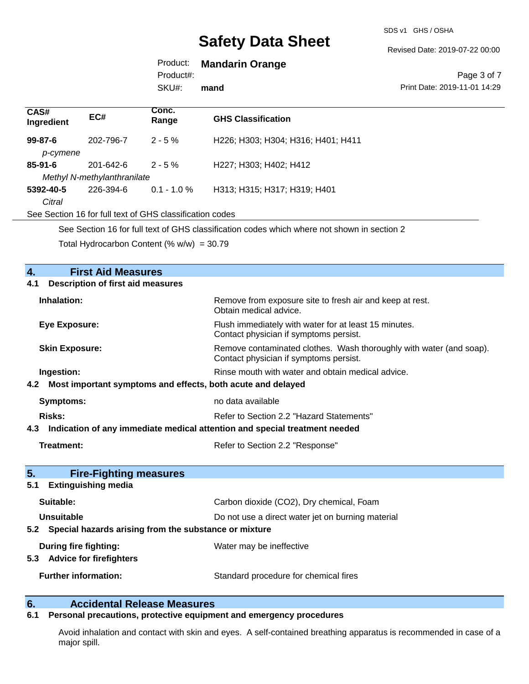SDS v1 GHS / OSHA

Revised Date: 2019-07-22 00:00

# Product: **Mandarin Orange**

Product#:

SKU#: **mand**

#### Page 3 of 7 Print Date: 2019-11-01 14:29

| CAS#<br>Ingredient | EC#                         | Conc.<br>Range                                           | <b>GHS Classification</b>                                                                   |
|--------------------|-----------------------------|----------------------------------------------------------|---------------------------------------------------------------------------------------------|
| $99 - 87 - 6$      | 202-796-7                   | $2 - 5%$                                                 | H226; H303; H304; H316; H401; H411                                                          |
| p-cymene           |                             |                                                          |                                                                                             |
| $85 - 91 - 6$      | $201 - 642 - 6$             | $2 - 5%$                                                 | H227; H303; H402; H412                                                                      |
|                    | Methyl N-methylanthranilate |                                                          |                                                                                             |
| 5392-40-5          | 226-394-6                   | $0.1 - 1.0 \%$                                           | H313; H315; H317; H319; H401                                                                |
| Citral             |                             |                                                          |                                                                                             |
|                    |                             | See Section 16 for full text of GHS classification codes |                                                                                             |
|                    |                             |                                                          | See Section 16 for full text of CHS classification codes which where not shown in section 2 |

See Section 16 for full text of GHS classification codes which where not shown in section 2 Total Hydrocarbon Content (%  $w/w$ ) = 30.79

| <b>First Aid Measures</b><br>4.                                                |                                                                                                               |  |  |  |  |
|--------------------------------------------------------------------------------|---------------------------------------------------------------------------------------------------------------|--|--|--|--|
| <b>Description of first aid measures</b><br>4.1                                |                                                                                                               |  |  |  |  |
| Inhalation:                                                                    | Remove from exposure site to fresh air and keep at rest.<br>Obtain medical advice.                            |  |  |  |  |
| <b>Eye Exposure:</b>                                                           | Flush immediately with water for at least 15 minutes.<br>Contact physician if symptoms persist.               |  |  |  |  |
| <b>Skin Exposure:</b>                                                          | Remove contaminated clothes. Wash thoroughly with water (and soap).<br>Contact physician if symptoms persist. |  |  |  |  |
| Ingestion:                                                                     | Rinse mouth with water and obtain medical advice.                                                             |  |  |  |  |
| 4.2 Most important symptoms and effects, both acute and delayed                |                                                                                                               |  |  |  |  |
| Symptoms:                                                                      | no data available                                                                                             |  |  |  |  |
| Risks:                                                                         | Refer to Section 2.2 "Hazard Statements"                                                                      |  |  |  |  |
| 4.3 Indication of any immediate medical attention and special treatment needed |                                                                                                               |  |  |  |  |
|                                                                                |                                                                                                               |  |  |  |  |
| Treatment:                                                                     | Refer to Section 2.2 "Response"                                                                               |  |  |  |  |
| 5.<br><b>Fire-Fighting measures</b>                                            |                                                                                                               |  |  |  |  |
| <b>Extinguishing media</b><br>5.1                                              |                                                                                                               |  |  |  |  |
| Suitable:                                                                      | Carbon dioxide (CO2), Dry chemical, Foam                                                                      |  |  |  |  |
| Unsuitable                                                                     | Do not use a direct water jet on burning material                                                             |  |  |  |  |
| 5.2 Special hazards arising from the substance or mixture                      |                                                                                                               |  |  |  |  |
| During fire fighting:<br>5.3 Advice for firefighters                           | Water may be ineffective                                                                                      |  |  |  |  |

# **6. Calcidental Release Measures**<br>**6.1** Personal precautions, protective equipm

## **6.1 Personal precautions, protective equipment and emergency procedures**

Avoid inhalation and contact with skin and eyes. A self-contained breathing apparatus is recommended in case of a major spill.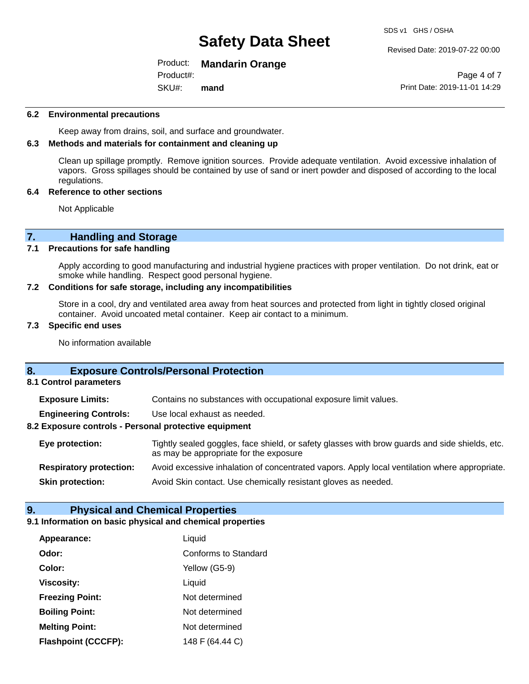#### Revised Date: 2019-07-22 00:00

### Product: **Mandarin Orange**

SKU#: Product#: **mand**

Page 4 of 7 Print Date: 2019-11-01 14:29

#### **6.2 Environmental precautions**

Keep away from drains, soil, and surface and groundwater.

#### **6.3 Methods and materials for containment and cleaning up**

Clean up spillage promptly. Remove ignition sources. Provide adequate ventilation. Avoid excessive inhalation of vapors. Gross spillages should be contained by use of sand or inert powder and disposed of according to the local regulations.

#### **6.4 Reference to other sections**

Not Applicable

# **7. Handling and Storage**<br>**7.1** Precautions for safe handling

#### **Precautions for safe handling**

Apply according to good manufacturing and industrial hygiene practices with proper ventilation. Do not drink, eat or smoke while handling. Respect good personal hygiene.

#### **7.2 Conditions for safe storage, including any incompatibilities**

Store in a cool, dry and ventilated area away from heat sources and protected from light in tightly closed original container. Avoid uncoated metal container. Keep air contact to a minimum.

#### **7.3 Specific end uses**

No information available

## **8. Exposure Controls/Personal Protection**

#### **8.1 Control parameters**

**Exposure Limits:** Contains no substances with occupational exposure limit values.

**Engineering Controls:** Use local exhaust as needed.

#### **8.2 Exposure controls - Personal protective equipment**

**Eye protection:** Tightly sealed goggles, face shield, or safety glasses with brow guards and side shields, etc. as may be appropriate for the exposure **Respiratory protection:** Avoid excessive inhalation of concentrated vapors. Apply local ventilation where appropriate.

**Skin protection:** Avoid Skin contact. Use chemically resistant gloves as needed.

### **9. Physical and Chemical Properties**

#### **9.1 Information on basic physical and chemical properties**

| Appearance:                | Liquid                      |
|----------------------------|-----------------------------|
| Odor:                      | <b>Conforms to Standard</b> |
| Color:                     | Yellow (G5-9)               |
| <b>Viscosity:</b>          | Liquid                      |
| <b>Freezing Point:</b>     | Not determined              |
| <b>Boiling Point:</b>      | Not determined              |
| <b>Melting Point:</b>      | Not determined              |
| <b>Flashpoint (CCCFP):</b> | 148 F (64.44 C)             |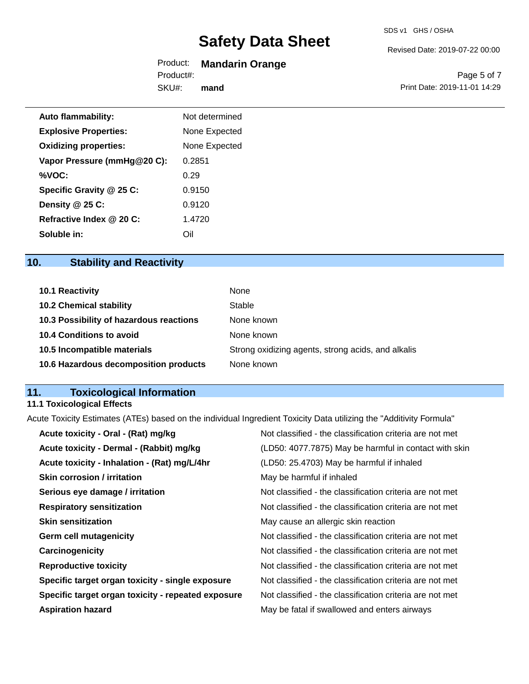#### Revised Date: 2019-07-22 00:00

### Product: **Mandarin Orange** Product#:

SKU#: **mand**

Page 5 of 7 Print Date: 2019-11-01 14:29

| <b>Auto flammability:</b>    | Not determined |
|------------------------------|----------------|
| <b>Explosive Properties:</b> | None Expected  |
| <b>Oxidizing properties:</b> | None Expected  |
| Vapor Pressure (mmHg@20 C):  | 0.2851         |
| %VOC:                        | 0.29           |
| Specific Gravity @ 25 C:     | 0.9150         |
| Density @ 25 C:              | 0.9120         |
| Refractive Index @ 20 C:     | 1.4720         |
| Soluble in:                  | Oil            |

# **10. Stability and Reactivity**

| <b>10.1 Reactivity</b>                  | None                                               |
|-----------------------------------------|----------------------------------------------------|
| <b>10.2 Chemical stability</b>          | Stable                                             |
| 10.3 Possibility of hazardous reactions | None known                                         |
| <b>10.4 Conditions to avoid</b>         | None known                                         |
| 10.5 Incompatible materials             | Strong oxidizing agents, strong acids, and alkalis |
| 10.6 Hazardous decomposition products   | None known                                         |

# **11. Toxicological Information**

# **11.1 Toxicological Effects**

Acute Toxicity Estimates (ATEs) based on the individual Ingredient Toxicity Data utilizing the "Additivity Formula"

| Acute toxicity - Oral - (Rat) mg/kg                | Not classified - the classification criteria are not met |
|----------------------------------------------------|----------------------------------------------------------|
| Acute toxicity - Dermal - (Rabbit) mg/kg           | (LD50: 4077.7875) May be harmful in contact with skin    |
| Acute toxicity - Inhalation - (Rat) mg/L/4hr       | (LD50: 25.4703) May be harmful if inhaled                |
| <b>Skin corrosion / irritation</b>                 | May be harmful if inhaled                                |
| Serious eye damage / irritation                    | Not classified - the classification criteria are not met |
| <b>Respiratory sensitization</b>                   | Not classified - the classification criteria are not met |
| <b>Skin sensitization</b>                          | May cause an allergic skin reaction                      |
| <b>Germ cell mutagenicity</b>                      | Not classified - the classification criteria are not met |
| Carcinogenicity                                    | Not classified - the classification criteria are not met |
| <b>Reproductive toxicity</b>                       | Not classified - the classification criteria are not met |
| Specific target organ toxicity - single exposure   | Not classified - the classification criteria are not met |
| Specific target organ toxicity - repeated exposure | Not classified - the classification criteria are not met |
| <b>Aspiration hazard</b>                           | May be fatal if swallowed and enters airways             |
|                                                    |                                                          |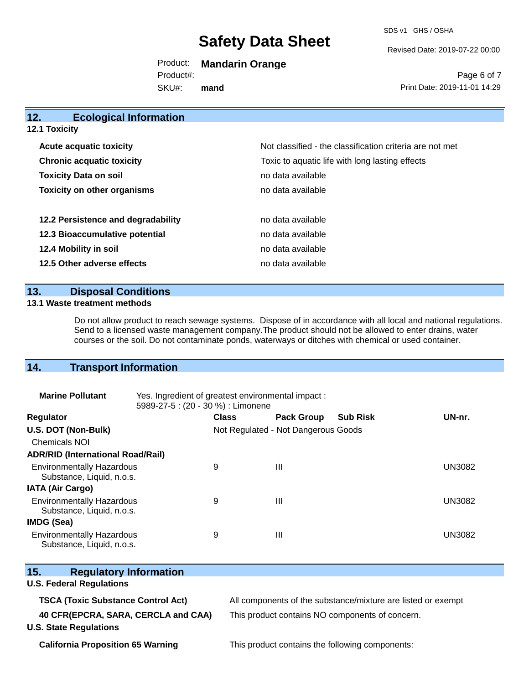SDS v1 GHS / OSHA

Revised Date: 2019-07-22 00:00

Product: **Mandarin Orange** SKU#: Product#: **mand**

Page 6 of 7 Print Date: 2019-11-01 14:29

| 12.<br><b>Ecological Information</b> |                                                          |
|--------------------------------------|----------------------------------------------------------|
| <b>12.1 Toxicity</b>                 |                                                          |
| <b>Acute acquatic toxicity</b>       | Not classified - the classification criteria are not met |
| <b>Chronic acquatic toxicity</b>     | Toxic to aquatic life with long lasting effects          |
| <b>Toxicity Data on soil</b>         | no data available                                        |
| <b>Toxicity on other organisms</b>   | no data available                                        |
| 12.2 Persistence and degradability   | no data available                                        |
| 12.3 Bioaccumulative potential       | no data available                                        |
| 12.4 Mobility in soil                | no data available                                        |
| 12.5 Other adverse effects           | no data available                                        |

## **13. Disposal Conditions**

#### **13.1 Waste treatment methods**

Do not allow product to reach sewage systems. Dispose of in accordance with all local and national regulations. Send to a licensed waste management company.The product should not be allowed to enter drains, water courses or the soil. Do not contaminate ponds, waterways or ditches with chemical or used container.

## **14. Transport Information**

| <b>Marine Pollutant</b>                                       | Yes. Ingredient of greatest environmental impact:<br>5989-27-5 : (20 - 30 %) : Limonene |                                     |                   |                 |               |
|---------------------------------------------------------------|-----------------------------------------------------------------------------------------|-------------------------------------|-------------------|-----------------|---------------|
| <b>Regulator</b>                                              |                                                                                         | <b>Class</b>                        | <b>Pack Group</b> | <b>Sub Risk</b> | UN-nr.        |
| U.S. DOT (Non-Bulk)                                           |                                                                                         | Not Regulated - Not Dangerous Goods |                   |                 |               |
| <b>Chemicals NOI</b>                                          |                                                                                         |                                     |                   |                 |               |
| <b>ADR/RID (International Road/Rail)</b>                      |                                                                                         |                                     |                   |                 |               |
| <b>Environmentally Hazardous</b><br>Substance, Liquid, n.o.s. |                                                                                         | 9                                   | Ш                 |                 | <b>UN3082</b> |
| <b>IATA (Air Cargo)</b>                                       |                                                                                         |                                     |                   |                 |               |
| <b>Environmentally Hazardous</b><br>Substance, Liquid, n.o.s. |                                                                                         | 9                                   | Ш                 |                 | UN3082        |
| <b>IMDG (Sea)</b>                                             |                                                                                         |                                     |                   |                 |               |
| <b>Environmentally Hazardous</b><br>Substance, Liquid, n.o.s. |                                                                                         | 9                                   | Ш                 |                 | UN3082        |

| Substance, Liquid, n.o.s.                 |                                                              |
|-------------------------------------------|--------------------------------------------------------------|
| 15.<br><b>Regulatory Information</b>      |                                                              |
| <b>U.S. Federal Regulations</b>           |                                                              |
| <b>TSCA (Toxic Substance Control Act)</b> | All components of the substance/mixture are listed or exempt |
| 40 CFR(EPCRA, SARA, CERCLA and CAA)       | This product contains NO components of concern.              |
| <b>U.S. State Regulations</b>             |                                                              |
|                                           |                                                              |

**California Proposition 65 Warning This product contains the following components:**